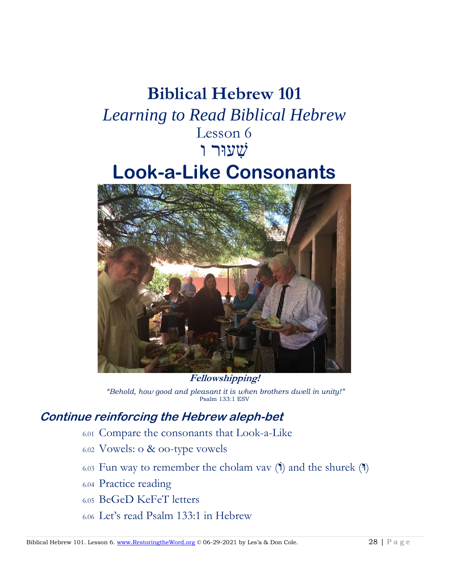# **Biblical Hebrew 101**  *Learning to Read Biblical Hebrew* Lesson 6 שׁ ִעוּר ו **Look-a-Like Consonants**



*"Behold, how good and pleasant it is when brothers dwell in unity!"* Psalm 133:1 ESV

## **Continue reinforcing the Hebrew aleph-bet**

- 6.01 Compare the consonants that Look-a-Like
- 6.02 Vowels: o & oo-type vowels
- 6.03 Fun way to remember the cholam vav ( $\dot{I}$ ) and the shurek ( $\dot{I}$ )
- 6.04 Practice reading
- 6.05 BeGeD KeFeT letters
- 6.06 Let's read Psalm 133:1 in Hebrew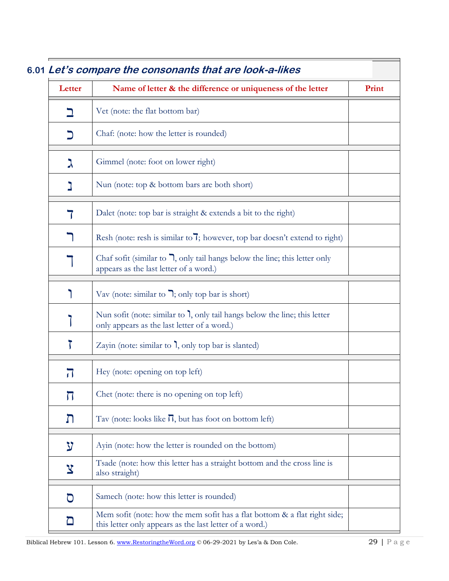| Letter                  | Name of letter & the difference or uniqueness of the letter                                                                                  | Print |
|-------------------------|----------------------------------------------------------------------------------------------------------------------------------------------|-------|
|                         | Vet (note: the flat bottom bar)                                                                                                              |       |
| כ                       | Chaf: (note: how the letter is rounded)                                                                                                      |       |
| 入                       | Gimmel (note: foot on lower right)                                                                                                           |       |
|                         | Nun (note: top & bottom bars are both short)                                                                                                 |       |
|                         | Dalet (note: top bar is straight & extends a bit to the right)                                                                               |       |
|                         | Resh (note: resh is similar to 7; however, top bar doesn't extend to right)                                                                  |       |
|                         | Chaf sofit (similar to $\overline{\phantom{a}}$ , only tail hangs below the line; this letter only<br>appears as the last letter of a word.) |       |
|                         | Vav (note: similar to $\overline{\phantom{a}}$ ); only top bar is short)                                                                     |       |
|                         | Nun sofit (note: similar to ), only tail hangs below the line; this letter<br>only appears as the last letter of a word.)                    |       |
|                         | Zayin (note: similar to 1, only top bar is slanted)                                                                                          |       |
| $\overline{\mathbf{J}}$ | Hey (note: opening on top left)                                                                                                              |       |
| 丌                       | Chet (note: there is no opening on top left)                                                                                                 |       |
| Л                       | Tav (note: looks like $\Pi$ , but has foot on bottom left)                                                                                   |       |
| ל                       | Ayin (note: how the letter is rounded on the bottom)                                                                                         |       |
| $\mathbf{x}$            | Tsade (note: how this letter has a straight bottom and the cross line is<br>also straight)                                                   |       |
| O                       | Samech (note: how this letter is rounded)                                                                                                    |       |
| $\Box$                  | Mem sofit (note: how the mem sofit has a flat bottom & a flat right side;<br>this letter only appears as the last letter of a word.)         |       |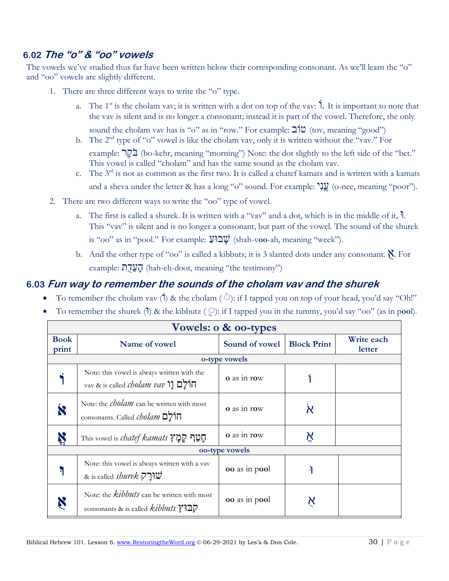## **6.02 The "o" & "oo" vowels**

The vowels we've studied thus far have been written below their corresponding consonant. As we'll learn the "o" and "oo" vowels are slightly different.

- 1. There are three different ways to write the "o" type.
	- a. The 1<sup>st</sup> is the cholam vav; it is written with a dot on top of the vav: **1**. It is important to note that the vav is silent and is no longer a consonant; instead it is part of the vowel. Therefore, the only sound the cholam vav has is "o" as in "row." For example:  $\mathbb{C}[\mathbb{C}^1]$ " (tov, meaning "good")
	- b. The  $2<sup>nd</sup>$  type of "o" vowel is like the cholam vav, only it is written without the "vav." For example: בֹּקֶר (bo-kehr, meaning "morning") Note: the dot slightly to the left side of the "bet." This vowel is called "cholam" and has the same sound as the cholam vav.
	- c. The  $3<sup>rd</sup>$  is not as common as the first two. It is called a chatef kamats and is written with a kamats and a sheva under the letter & has a long "o" sound. For example: " $\frac{1}{2}$  (o-nee, meaning "poor").
- 2. There are two different ways to write the "oo" type of vowel.
	- a. The first is called a shurek. It is written with a "vav" and a dot, which is in the middle of it,  $\mathbf{h}$ . This "vav" is silent and is no longer a consonant, but part of the vowel. The sound of the shurek is "oo" as in "pool." For example:  $\mathbf{Q}^{\mathsf{u}}$  (shah-voo-ah, meaning "week").
	- b. And the other type of "oo" is called a kibbuts; it is 3 slanted dots under any consonant. א. For example: הַעֲדָת (hah-eh-doot, meaning "the testimony")

### **6.03 Fun way to remember the sounds of the cholam vav and the shurek**

- To remember the cholam vav (1) & the cholam ( $\Diamond$ ): if I tapped you on top of your head, you'd say "Oh!"
- To remember the shurek (1) & the kibbutz ( $\odot$ ): if I tapped you in the tummy, you'd say "oo" (as in pool).

| Vowels: o & oo-types |                                                                                               |                    |                    |                      |
|----------------------|-----------------------------------------------------------------------------------------------|--------------------|--------------------|----------------------|
| <b>Book</b><br>print | Name of vowel                                                                                 | Sound of vowel     | <b>Block Print</b> | Write each<br>letter |
|                      | o-type vowels                                                                                 |                    |                    |                      |
|                      | Note: this vowel is always written with the<br>vav & is called <i>cholam vav</i> פון הולים נו | <b>o</b> as in row |                    |                      |
|                      | Note: the <i>cholam</i> can be written with most<br>consonants. Called <i>cholam</i>          | <b>o</b> as in row | א                  |                      |
|                      | This vowel is <i>chatef kamats</i> ר <b>ַמֲ</b> לִ                                            | <b>o</b> as in row | Ķ                  |                      |
| oo-type vowels       |                                                                                               |                    |                    |                      |
|                      | Note: this vowel is always written with a vav<br>& is called <i>shurek</i> שורך               | oo as in pool      |                    |                      |
|                      | Note: the <i>kibbuts</i> can be written with most<br>consonants & is called <i>kibbuts</i> ?] | oo as in pool      | Ķ                  |                      |

٦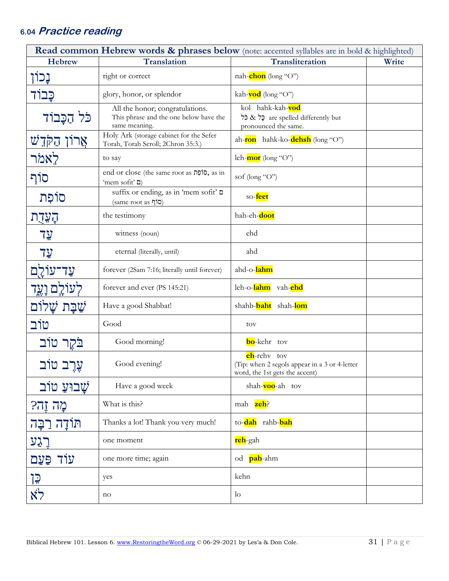## **6.0 4 Practice reading**

| <b>Read common Hebrew words &amp; phrases below</b> (note: accented syllables are in bold & highlighted) |                                                                                            |                                                                                                        |       |  |
|----------------------------------------------------------------------------------------------------------|--------------------------------------------------------------------------------------------|--------------------------------------------------------------------------------------------------------|-------|--|
| <b>Hebrew</b>                                                                                            | <b>Translation</b>                                                                         | <b>Transliteration</b>                                                                                 | Write |  |
| נְכוֹן                                                                                                   | right or correct                                                                           | nah- <b>chon</b> (long "O")                                                                            |       |  |
| כָּבוֹד                                                                                                  | glory, honor, or splendor                                                                  | kah- <b>vod</b> (long "O")                                                                             |       |  |
| כֹּל הַכָּבוֹד                                                                                           | All the honor; congratulations.<br>This phrase and the one below have the<br>same meaning. | kol hahk-kah-wod<br>are spelled differently but כָּל & כֹּל<br>pronounced the same.                    |       |  |
| אַרוֹן הַקְדֵשׁ                                                                                          | Holy Ark (storage cabinet for the Sefer<br>Torah, Torah Scroll; 2Chron 35:3.)              | ah- <b>ron</b> hahk-ko- <b>dehsh</b> (long "O")                                                        |       |  |
| לאמר                                                                                                     | to say                                                                                     | leh-mor (long "O")                                                                                     |       |  |
| סוֹף                                                                                                     | end or close (the same root as סוֹפָת, as in<br>'mem sofit' ם)                             | sof (long "O")                                                                                         |       |  |
| סוֹפִת                                                                                                   | suffix or ending, as in 'mem sofit' D<br>(same root as סוף                                 | so-feet                                                                                                |       |  |
| הֲעֲדָת                                                                                                  | the testimony                                                                              | hah-eh-doot                                                                                            |       |  |
| $7\frac{1}{2}$                                                                                           | witness (noun)                                                                             | ehd                                                                                                    |       |  |
| 7 <u>y</u>                                                                                               | eternal (literally, until)                                                                 | ahd                                                                                                    |       |  |
| <u>עַד־עוֹלֻם</u>                                                                                        | forever (2Sam 7:16; literally until forever)                                               | ahd-o-lahm                                                                                             |       |  |
| לְעוֹל <u>ָם וָע</u> ֶד                                                                                  | forever and ever (PS 145:21)                                                               | leh-o-lahm vah-ehd                                                                                     |       |  |
| ֹשַׁבָּת שָׁלוֹם                                                                                         | Have a good Shabbat!                                                                       | shahb-baht shah-lom                                                                                    |       |  |
| טוֹב                                                                                                     | Good                                                                                       | tov                                                                                                    |       |  |
| בֹּקֶר טוֹב                                                                                              | Good morning!                                                                              | <b>bo</b> -kehr tov                                                                                    |       |  |
| עֵרֵב טוֹב                                                                                               | Good evening!                                                                              | <b>eh</b> -rehy tov<br>(Tip: when 2 segols appear in a 3 or 4-letter<br>word, the 1st gets the accent) |       |  |
| שַׁבוּעַ טוֹב                                                                                            | Have a good week                                                                           | shah-voo-ah tov                                                                                        |       |  |
| מֲהֹ זֶהִי?                                                                                              | What is this?                                                                              | mah zeh?                                                                                               |       |  |
| תוֹדָה רַבָּה                                                                                            | Thanks a lot! Thank you very much!                                                         | to- <b>dah</b> rahb-bah                                                                                |       |  |
| רֵגַע                                                                                                    | one moment                                                                                 | reh-gah                                                                                                |       |  |
| עוֹד<br>פּעַם                                                                                            | one more time; again                                                                       | od <b>pah</b> -ahm                                                                                     |       |  |
| <u> 15</u>                                                                                               | yes                                                                                        | kehn                                                                                                   |       |  |
| $\aleph$                                                                                                 | no                                                                                         | $\log$                                                                                                 |       |  |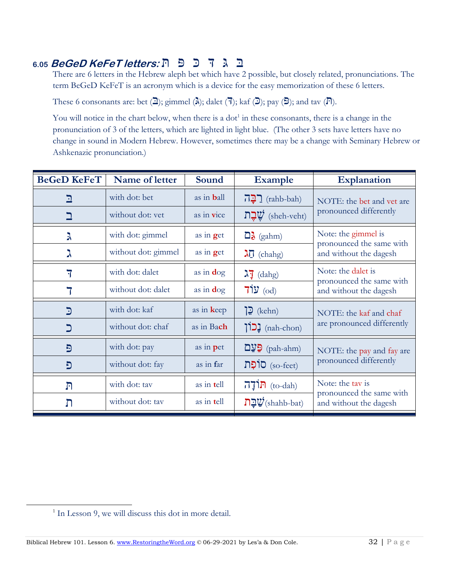## בִִּּגִִּדִִכִִפִִּתִ **:letters KeFeT BeGeD 6.05**

There are 6 letters in the Hebrew aleph bet which have 2 possible, but closely related, pronunciations. The term BeGeD KeFeT is an acronym which is a device for the easy memorization of these 6 letters.

These 6 consonants are: bet  $(\overline{2})$ ; gimmel  $(\lambda)$ ; dalet  $(\overline{7})$ ; kaf  $(\overline{2})$ ; pay  $(\overline{5})$ ; and tav  $(\overline{R})$ .

You will notice in the chart below, when there is a dot<sup>1</sup> in these consonants, there is a change in the pronunciation of 3 of the letters, which are lighted in light blue. (The other 3 sets have letters have no change in sound in Modern Hebrew. However, sometimes there may be a change with Seminary Hebrew or Ashkenazic pronunciation.)

| <b>BeGeD KeFeT</b> | Name of letter      | Sound              | <b>Example</b>                                      | <b>Explanation</b>                                                     |  |
|--------------------|---------------------|--------------------|-----------------------------------------------------|------------------------------------------------------------------------|--|
| ב                  | with dot: bet       | as in <b>b</b> all | <u>רְבָה</u> (rahb-bah)                             | NOTE: the bet and vet are<br>pronounced differently                    |  |
|                    | without dot: yet    | as in vice         | שֲבָת (sheh-veht)                                   |                                                                        |  |
| λ                  | with dot: gimmel    | as in $get$        | $\Box$ (gahm)                                       | Note: the gimmel is                                                    |  |
| λ                  | without dot: gimmel | as in $get$        | $\lambda \overline{0}$ (chahg)                      | pronounced the same with<br>and without the dagesh                     |  |
| 7                  | with dot: dalet     | as in $\deg$       | $\lambda$ <sup>7</sup> (dahg)                       | Note: the dalet is                                                     |  |
|                    | without dot: dalet  | as in $\deg$       | $71y$ (od)                                          | pronounced the same with<br>and without the dagesh                     |  |
| $\mathbf{D}$       | with dot: kaf       | as in keep         | ה (kehn)                                            | NOTE: the kaf and chaf<br>are pronounced differently                   |  |
| כ                  | without dot: chaf   | as in Bach         | [כון (nah-chon)                                     |                                                                        |  |
| Đ                  | with dot: pay       | as in pet          | $\mathbf{D}\mathbf{y}$ (pah-ahm)                    | NOTE: the pay and fay are                                              |  |
| פ                  | without dot: fay    | as in far          | (so-feet) סוֹפָת                                    | pronounced differently                                                 |  |
| $\Gamma$           | with dot: tav       | as in tell         | $\overline{\mathbf{h}}$ (to-dah)                    | Note: the tay is<br>pronounced the same with<br>and without the dagesh |  |
| ת                  | without dot: tav    | as in tell         | $\mathbf{D}\mathbf{D}$ יבת $\mathbf{V}$ (shahb-bat) |                                                                        |  |

<sup>&</sup>lt;sup>1</sup> In Lesson 9, we will discuss this dot in more detail.

Biblical Hebrew 101. Lesson 6[. www.RestoringtheWord.org](http://www.restoringtheword.org/)  $\odot$  06-29-2021 by Les'a & Don Cole. 32 | P a g e